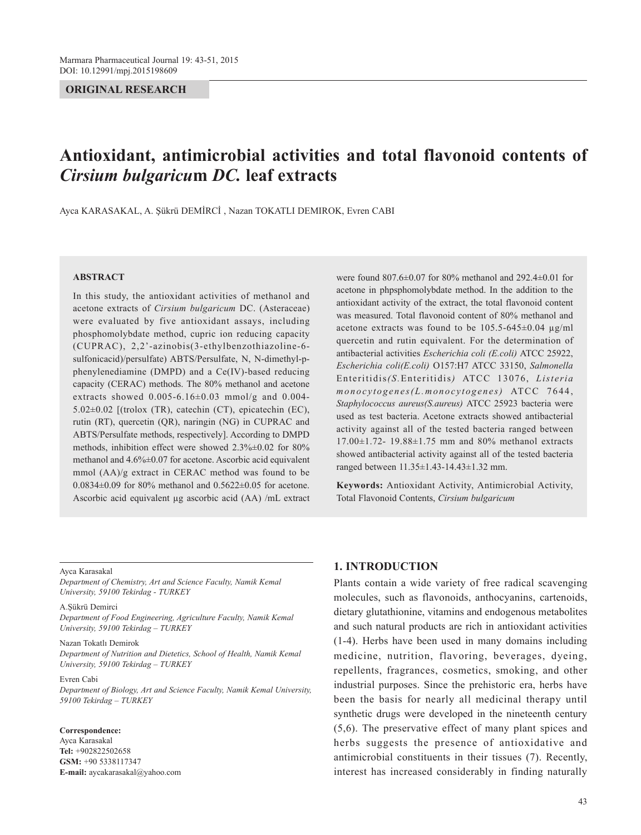# **ORIGINAL RESEARCH**

# **Antioxidant, antimicrobial activities and total flavonoid contents of**  *Cirsium bulgaricu***m** *DC.* **leaf extracts**

Ayca KARASAKAL, A. Şükrü DEMİRCİ , Nazan TOKATLI DEMIROK, Evren CABI

#### **ABSTRACT**

In this study, the antioxidant activities of methanol and acetone extracts of *Cirsium bulgaricum* DC. (Asteraceae) were evaluated by five antioxidant assays, including phosphomolybdate method, cupric ion reducing capacity (CUPRAC), 2,2'-azinobis(3-ethylbenzothiazoline-6 sulfonicacid)/persulfate) ABTS/Persulfate, N, N-dimethyl-pphenylenediamine (DMPD) and a Ce(IV)-based reducing capacity (CERAC) methods. The 80% methanol and acetone extracts showed  $0.005 - 6.16 \pm 0.03$  mmol/g and 0.004-5.02±0.02 [(trolox (TR), catechin (CT), epicatechin (EC), rutin (RT), quercetin (QR), naringin (NG) in CUPRAC and ABTS/Persulfate methods, respectively]. According to DMPD methods, inhibition effect were showed 2.3%±0.02 for 80% methanol and 4.6%±0.07 for acetone. Ascorbic acid equivalent mmol (AA)/g extract in CERAC method was found to be 0.0834±0.09 for 80% methanol and 0.5622±0.05 for acetone. Ascorbic acid equivalent µg ascorbic acid (AA) /mL extract were found 807.6±0.07 for 80% methanol and 292.4±0.01 for acetone in phpsphomolybdate method. In the addition to the antioxidant activity of the extract, the total flavonoid content was measured. Total flavonoid content of 80% methanol and acetone extracts was found to be  $105.5-645\pm0.04$   $\mu$ g/ml quercetin and rutin equivalent. For the determination of antibacterial activities *Escherichia coli (E.coli)* ATCC 25922, *Escherichia coli(E.coli)* O157:H7 ATCC 33150, *Salmonella*  Enteritidis*(S.*Enteritidis*)* ATCC 13076, *Listeria*  monocytogenes(L.monocytogenes) ATCC 7644, *Staphylococcus aureus(S.aureus)* ATCC 25923 bacteria were used as test bacteria. Acetone extracts showed antibacterial activity against all of the tested bacteria ranged between 17.00±1.72- 19.88±1.75 mm and 80% methanol extracts showed antibacterial activity against all of the tested bacteria ranged between 11.35±1.43-14.43±1.32 mm.

**Keywords:** Antioxidant Activity, Antimicrobial Activity, Total Flavonoid Contents, *Cirsium bulgaricum* 

#### Ayca Karasakal

*Department of Chemistry, Art and Science Faculty, Namik Kemal University, 59100 Tekirdag - TURKEY*

#### A.Şükrü Demirci

*Department of Food Engineering, Agriculture Faculty, Namik Kemal University, 59100 Tekirdag – TURKEY*

#### Nazan Tokatlı Demirok

*Department of Nutrition and Dietetics, School of Health, Namik Kemal University, 59100 Tekirdag – TURKEY*

## Evren Cabi

*Department of Biology, Art and Science Faculty, Namik Kemal University, 59100 Tekirdag – TURKEY*

#### **Correspondence:**

Ayca Karasakal **Tel:** +902822502658 **GSM:** +90 5338117347 **E-mail:** aycakarasakal@yahoo.com

# **1. INTRODUCTION**

Plants contain a wide variety of free radical scavenging molecules, such as flavonoids, anthocyanins, cartenoids, dietary glutathionine, vitamins and endogenous metabolites and such natural products are rich in antioxidant activities (1-4). Herbs have been used in many domains including medicine, nutrition, flavoring, beverages, dyeing, repellents, fragrances, cosmetics, smoking, and other industrial purposes. Since the prehistoric era, herbs have been the basis for nearly all medicinal therapy until synthetic drugs were developed in the nineteenth century (5,6). The preservative effect of many plant spices and herbs suggests the presence of antioxidative and antimicrobial constituents in their tissues (7). Recently, interest has increased considerably in finding naturally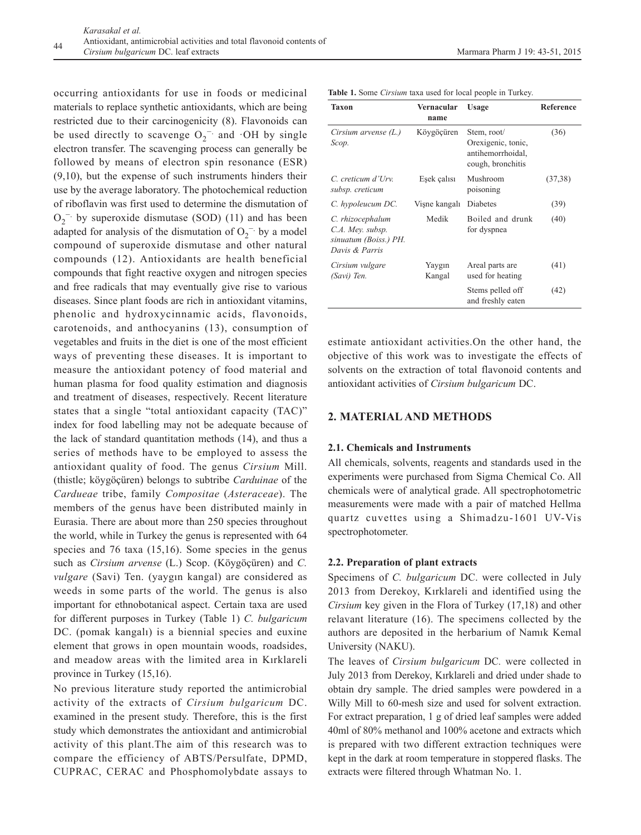occurring antioxidants for use in foods or medicinal materials to replace synthetic antioxidants, which are being restricted due to their carcinogenicity (8). Flavonoids can be used directly to scavenge  $O_2^-$  and  $\cdot$ OH by single electron transfer. The scavenging process can generally be followed by means of electron spin resonance (ESR) (9,10), but the expense of such instruments hinders their use by the average laboratory. The photochemical reduction of riboflavin was first used to determine the dismutation of  $O_2$ <sup>-</sup> by superoxide dismutase (SOD) (11) and has been adapted for analysis of the dismutation of  $O_2^-$  by a model compound of superoxide dismutase and other natural compounds (12). Antioxidants are health beneficial compounds that fight reactive oxygen and nitrogen species and free radicals that may eventually give rise to various diseases. Since plant foods are rich in antioxidant vitamins, phenolic and hydroxycinnamic acids, flavonoids, carotenoids, and anthocyanins (13), consumption of vegetables and fruits in the diet is one of the most efficient ways of preventing these diseases. It is important to measure the antioxidant potency of food material and human plasma for food quality estimation and diagnosis and treatment of diseases, respectively. Recent literature states that a single "total antioxidant capacity (TAC)" index for food labelling may not be adequate because of the lack of standard quantitation methods (14), and thus a series of methods have to be employed to assess the antioxidant quality of food. The genus *Cirsium* Mill. (thistle; köygöçüren) belongs to subtribe *Carduinae* of the *Cardueae* tribe, family *Compositae* (*Asteraceae*). The members of the genus have been distributed mainly in Eurasia. There are about more than 250 species throughout the world, while in Turkey the genus is represented with 64 species and 76 taxa (15,16). Some species in the genus such as *Cirsium arvense* (L.) Scop. (Köygöçüren) and *C. vulgare* (Savi) Ten. (yaygın kangal) are considered as weeds in some parts of the world. The genus is also important for ethnobotanical aspect. Certain taxa are used for different purposes in Turkey (Table 1) *C. bulgaricum* DC. (pomak kangalı) is a biennial species and euxine element that grows in open mountain woods, roadsides, and meadow areas with the limited area in Kırklareli province in Turkey (15,16).

No previous literature study reported the antimicrobial activity of the extracts of *Cirsium bulgaricum* DC. examined in the present study. Therefore, this is the first study which demonstrates the antioxidant and antimicrobial activity of this plant.The aim of this research was to compare the efficiency of ABTS/Persulfate, DPMD, CUPRAC, CERAC and Phosphomolybdate assays to

**Table 1.** Some *Cirsium* taxa used for local people in Turkey.

| Taxon                                                                           | Vernacular<br>name | Usage                                                                       | Reference |
|---------------------------------------------------------------------------------|--------------------|-----------------------------------------------------------------------------|-----------|
| Cirsium arvense $(L)$<br>Scop.                                                  | Köygöçüren         | Stem, root/<br>Orexigenic, tonic,<br>antihemorrhoidal,<br>cough, bronchitis | (36)      |
| $C$ creticum d'Urv<br>subsp. creticum                                           | Eşek çalısı        | Mushroom<br>poisoning                                                       | (37,38)   |
| C. hypoleucum DC.                                                               | Vişne kangalı      | Diabetes                                                                    | (39)      |
| C. rhizocephalum<br>C.A. Mey. subsp.<br>sinuatum (Boiss.) PH.<br>Davis & Parris | Medik              | Boiled and drunk<br>for dyspnea                                             | (40)      |
| Cirsium vulgare<br>(Savi) Ten.                                                  | Yaygın<br>Kangal   | Areal parts are<br>used for heating                                         | (41)      |
|                                                                                 |                    | Stems pelled off<br>and freshly eaten                                       | (42)      |

estimate antioxidant activities.On the other hand, the objective of this work was to investigate the effects of solvents on the extraction of total flavonoid contents and antioxidant activities of *Cirsium bulgaricum* DC.

# **2. MATERIAL AND METHODS**

#### **2.1. Chemicals and Instruments**

All chemicals, solvents, reagents and standards used in the experiments were purchased from Sigma Chemical Co. All chemicals were of analytical grade. All spectrophotometric measurements were made with a pair of matched Hellma quartz cuvettes using a Shimadzu-1601 UV-Vis spectrophotometer.

## **2.2. Preparation of plant extracts**

Specimens of *C. bulgaricum* DC. were collected in July 2013 from Derekoy, Kırklareli and identified using the *Cirsium* key given in the Flora of Turkey (17,18) and other relavant literature (16). The specimens collected by the authors are deposited in the herbarium of Namık Kemal University (NAKU).

The leaves of *Cirsium bulgaricum* DC*.* were collected in July 2013 from Derekoy, Kırklareli and dried under shade to obtain dry sample. The dried samples were powdered in a Willy Mill to 60-mesh size and used for solvent extraction. For extract preparation, 1 g of dried leaf samples were added 40ml of 80% methanol and 100% acetone and extracts which is prepared with two different extraction techniques were kept in the dark at room temperature in stoppered flasks. The extracts were filtered through Whatman No. 1.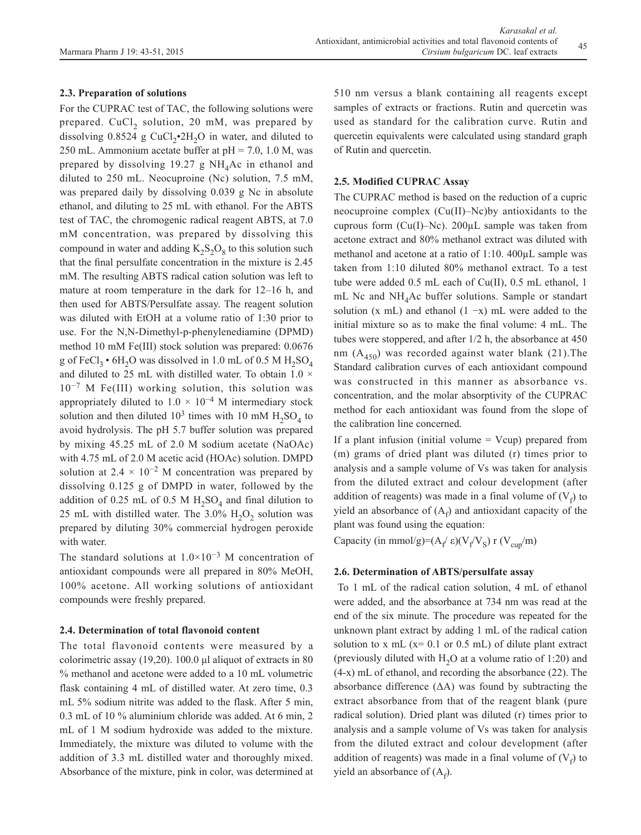# **2.3. Preparation of solutions**

For the CUPRAC test of TAC, the following solutions were prepared. CuCl<sub>2</sub> solution, 20 mM, was prepared by dissolving  $0.8524$  g CuCl<sub>2</sub> $\cdot$ 2H<sub>2</sub>O in water, and diluted to 250 mL. Ammonium acetate buffer at  $pH = 7.0$ , 1.0 M, was prepared by dissolving  $19.27$  g NH<sub>4</sub>Ac in ethanol and diluted to 250 mL. Neocuproine (Nc) solution, 7.5 mM, was prepared daily by dissolving 0.039 g Nc in absolute ethanol, and diluting to 25 mL with ethanol. For the ABTS test of TAC, the chromogenic radical reagent ABTS, at 7.0 mM concentration, was prepared by dissolving this compound in water and adding  $K_2S_2O_8$  to this solution such that the final persulfate concentration in the mixture is 2.45 mM. The resulting ABTS radical cation solution was left to mature at room temperature in the dark for 12–16 h, and then used for ABTS/Persulfate assay. The reagent solution was diluted with EtOH at a volume ratio of 1:30 prior to use. For the N,N-Dimethyl-p-phenylenediamine (DPMD) method 10 mM Fe(III) stock solution was prepared: 0.0676 g of FeCl<sub>3</sub> • 6H<sub>2</sub>O was dissolved in 1.0 mL of 0.5 M H<sub>2</sub>SO<sub>4</sub> and diluted to 25 mL with distilled water. To obtain  $1.0 \times$ 10−7 M Fe(III) working solution, this solution was appropriately diluted to  $1.0 \times 10^{-4}$  M intermediary stock solution and then diluted  $10^3$  times with 10 mM  $H_2SO_4$  to avoid hydrolysis. The pH 5.7 buffer solution was prepared by mixing 45.25 mL of 2.0 M sodium acetate (NaOAc) with 4.75 mL of 2.0 M acetic acid (HOAc) solution. DMPD solution at  $2.4 \times 10^{-2}$  M concentration was prepared by dissolving 0.125 g of DMPD in water, followed by the addition of 0.25 mL of 0.5 M  $H_2SO_4$  and final dilution to 25 mL with distilled water. The 3.0%  $H_2O_2$  solution was prepared by diluting 30% commercial hydrogen peroxide with water.

The standard solutions at  $1.0\times10^{-3}$  M concentration of antioxidant compounds were all prepared in 80% MeOH, 100% acetone. All working solutions of antioxidant compounds were freshly prepared.

## **2.4. Determination of total flavonoid content**

The total flavonoid contents were measured by a colorimetric assay (19,20). 100.0 μl aliquot of extracts in 80 % methanol and acetone were added to a 10 mL volumetric flask containing 4 mL of distilled water. At zero time, 0.3 mL 5% sodium nitrite was added to the flask. After 5 min, 0.3 mL of 10 % aluminium chloride was added. At 6 min, 2 mL of 1 M sodium hydroxide was added to the mixture. Immediately, the mixture was diluted to volume with the addition of 3.3 mL distilled water and thoroughly mixed. Absorbance of the mixture, pink in color, was determined at 510 nm versus a blank containing all reagents except samples of extracts or fractions. Rutin and quercetin was used as standard for the calibration curve. Rutin and quercetin equivalents were calculated using standard graph of Rutin and quercetin.

# **2.5. Modified CUPRAC Assay**

The CUPRAC method is based on the reduction of a cupric neocuproine complex (Cu(II)–Nc)by antioxidants to the cuprous form ( $Cu(I)$ –Nc). 200 $\mu$ L sample was taken from acetone extract and 80% methanol extract was diluted with methanol and acetone at a ratio of 1:10. 400µL sample was taken from 1:10 diluted 80% methanol extract. To a test tube were added 0.5 mL each of Cu(II), 0.5 mL ethanol, 1 mL Nc and  $NH<sub>4</sub>$ Ac buffer solutions. Sample or standart solution (x mL) and ethanol  $(1 -x)$  mL were added to the initial mixture so as to make the final volume: 4 mL. The tubes were stoppered, and after 1/2 h, the absorbance at 450 nm  $(A_{450})$  was recorded against water blank (21). The Standard calibration curves of each antioxidant compound was constructed in this manner as absorbance vs. concentration, and the molar absorptivity of the CUPRAC method for each antioxidant was found from the slope of the calibration line concerned.

If a plant infusion (initial volume  $=$  Vcup) prepared from (m) grams of dried plant was diluted (r) times prior to analysis and a sample volume of Vs was taken for analysis from the diluted extract and colour development (after addition of reagents) was made in a final volume of  $(V_f)$  to yield an absorbance of  $(A_f)$  and antioxidant capacity of the plant was found using the equation:

Capacity (in mmol/g)= $(A_f \epsilon)(V_f/V_S)$  r  $(V_{cup}/m)$ 

# **2.6. Determination of ABTS/persulfate assay**

 To 1 mL of the radical cation solution, 4 mL of ethanol were added, and the absorbance at 734 nm was read at the end of the six minute. The procedure was repeated for the unknown plant extract by adding 1 mL of the radical cation solution to x mL ( $x= 0.1$  or 0.5 mL) of dilute plant extract (previously diluted with  $H<sub>2</sub>O$  at a volume ratio of 1:20) and (4-x) mL of ethanol, and recording the absorbance (22). The absorbance difference  $(∆A)$  was found by subtracting the extract absorbance from that of the reagent blank (pure radical solution). Dried plant was diluted (r) times prior to analysis and a sample volume of Vs was taken for analysis from the diluted extract and colour development (after addition of reagents) was made in a final volume of  $(V_f)$  to yield an absorbance of  $(A_f)$ .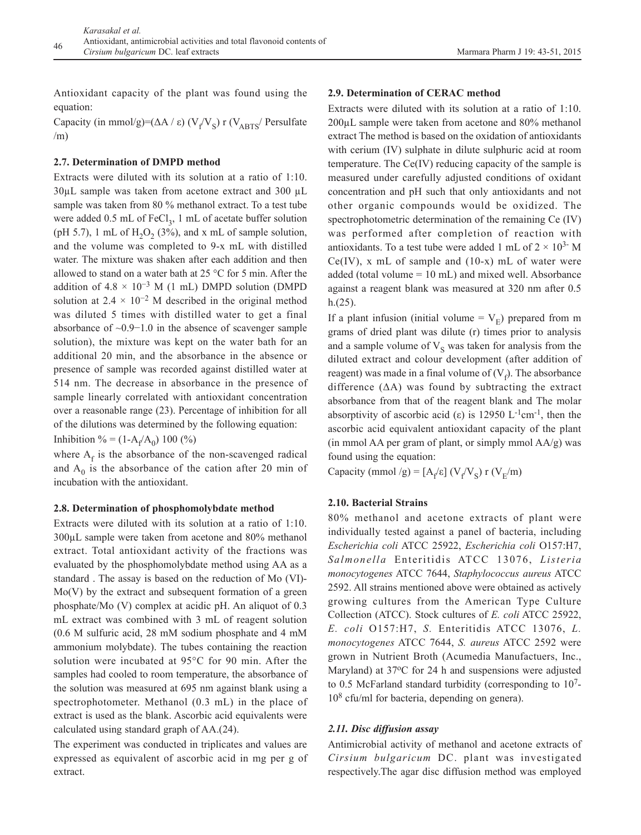Antioxidant capacity of the plant was found using the equation:

Capacity (in mmol/g)=( $\Delta A / \varepsilon$ ) (V<sub>f</sub>/V<sub>S</sub>) r (V<sub>ABTS</sub>/ Persulfate /m)

# **2.7. Determination of DMPD method**

Extracts were diluted with its solution at a ratio of 1:10. 30µL sample was taken from acetone extract and 300 µL sample was taken from 80 % methanol extract. To a test tube were added 0.5 mL of  $FeCl<sub>3</sub>$ , 1 mL of acetate buffer solution (pH 5.7), 1 mL of  $H_2O_2$  (3%), and x mL of sample solution, and the volume was completed to 9-x mL with distilled water. The mixture was shaken after each addition and then allowed to stand on a water bath at 25 °C for 5 min. After the addition of  $4.8 \times 10^{-3}$  M (1 mL) DMPD solution (DMPD solution at  $2.4 \times 10^{-2}$  M described in the original method was diluted 5 times with distilled water to get a final absorbance of ~0.9−1.0 in the absence of scavenger sample solution), the mixture was kept on the water bath for an additional 20 min, and the absorbance in the absence or presence of sample was recorded against distilled water at 514 nm. The decrease in absorbance in the presence of sample linearly correlated with antioxidant concentration over a reasonable range (23). Percentage of inhibition for all of the dilutions was determined by the following equation:

Inhibition % =  $(1-A_f/A_0)$  100 (%)

where  $A_f$  is the absorbance of the non-scavenged radical and  $A_0$  is the absorbance of the cation after 20 min of incubation with the antioxidant.

#### **2.8. Determination of phosphomolybdate method**

Extracts were diluted with its solution at a ratio of 1:10. 300µL sample were taken from acetone and 80% methanol extract. Total antioxidant activity of the fractions was evaluated by the phosphomolybdate method using AA as a standard . The assay is based on the reduction of Mo (VI)-  $Mo(V)$  by the extract and subsequent formation of a green phosphate/Mo (V) complex at acidic pH. An aliquot of 0.3 mL extract was combined with 3 mL of reagent solution (0.6 M sulfuric acid, 28 mM sodium phosphate and 4 mM ammonium molybdate). The tubes containing the reaction solution were incubated at 95°C for 90 min. After the samples had cooled to room temperature, the absorbance of the solution was measured at 695 nm against blank using a spectrophotometer. Methanol (0.3 mL) in the place of extract is used as the blank. Ascorbic acid equivalents were calculated using standard graph of AA.(24).

The experiment was conducted in triplicates and values are expressed as equivalent of ascorbic acid in mg per g of extract.

#### **2.9. Determination of CERAC method**

Extracts were diluted with its solution at a ratio of 1:10. 200µL sample were taken from acetone and 80% methanol extract The method is based on the oxidation of antioxidants with cerium (IV) sulphate in dilute sulphuric acid at room temperature. The  $Ce(IV)$  reducing capacity of the sample is measured under carefully adjusted conditions of oxidant concentration and pH such that only antioxidants and not other organic compounds would be oxidized. The spectrophotometric determination of the remaining Ce (IV) was performed after completion of reaction with antioxidants. To a test tube were added 1 mL of  $2 \times 10^{3}$  M Ce(IV), x mL of sample and  $(10-x)$  mL of water were added (total volume  $= 10$  mL) and mixed well. Absorbance against a reagent blank was measured at 320 nm after 0.5 h.(25).

If a plant infusion (initial volume =  $V<sub>F</sub>$ ) prepared from m grams of dried plant was dilute (r) times prior to analysis and a sample volume of  $V<sub>s</sub>$  was taken for analysis from the diluted extract and colour development (after addition of reagent) was made in a final volume of  $(V_f)$ . The absorbance difference  $(ΔA)$  was found by subtracting the extract absorbance from that of the reagent blank and The molar absorptivity of ascorbic acid (ε) is 12950 L<sup>-1</sup>cm<sup>-1</sup>, then the ascorbic acid equivalent antioxidant capacity of the plant (in mmol AA per gram of plant, or simply mmol AA/g) was found using the equation:

Capacity (mmol /g) =  $[A_f/\varepsilon]$  (V<sub>f</sub>/V<sub>S</sub>) r (V<sub>E</sub>/m)

# **2.10. Bacterial Strains**

80% methanol and acetone extracts of plant were individually tested against a panel of bacteria, including *Escherichia coli* ATCC 25922, *Escherichia coli* O157:H7, *Salmonella* Enteritidis ATCC 13076, *Listeria monocytogenes* ATCC 7644, *Staphylococcus aureus* ATCC 2592. All strains mentioned above were obtained as actively growing cultures from the American Type Culture Collection (ATCC). Stock cultures of *E. coli* ATCC 25922, *E. coli* O157:H7, *S.* Enteritidis ATCC 13076, *L. monocytogenes* ATCC 7644, *S. aureus* ATCC 2592 were grown in Nutrient Broth (Acumedia Manufactuers, Inc., Maryland) at 37<sup>o</sup>C for 24 h and suspensions were adjusted to 0.5 McFarland standard turbidity (corresponding to  $10<sup>7</sup>$ -108 cfu/ml for bacteria, depending on genera).

# *2.11. Disc diffusion assay*

Antimicrobial activity of methanol and acetone extracts of *Cirsium bulgaricum* DC. plant was investigated respectively.The agar disc diffusion method was employed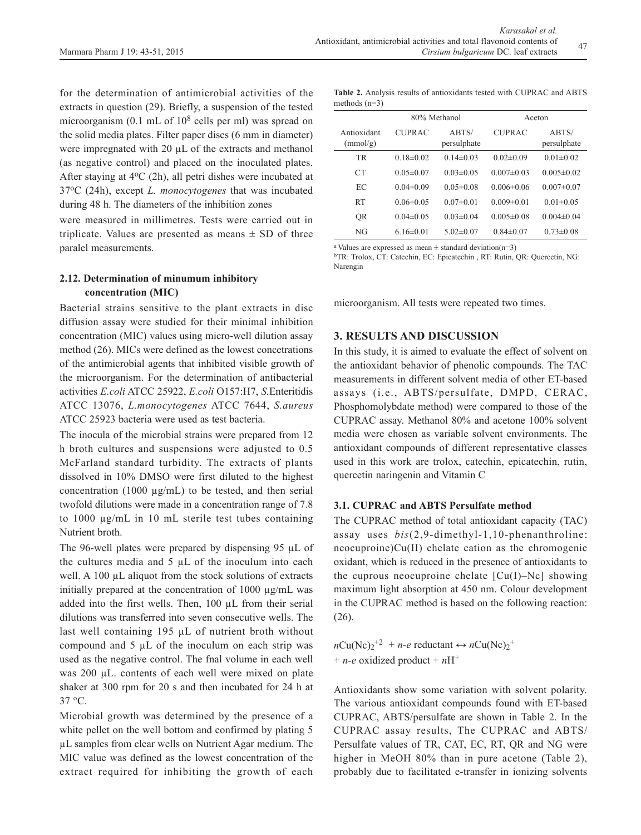for the determination of antimicrobial activities of the extracts in question (29). Briefly, a suspension of the tested microorganism  $(0.1 \text{ mL of } 10^8 \text{ cells per ml})$  was spread on the solid media plates. Filter paper discs (6 mm in diameter) were impregnated with 20  $\mu$ L of the extracts and methanol (as negative control) and placed on the inoculated plates. After staying at  $4^{\circ}C$  (2h), all petri dishes were incubated at 37oC (24h), except *L. monocytogenes* that was incubated during 48 h. The diameters of the inhibition zones

were measured in millimetres. Tests were carried out in triplicate. Values are presented as means  $\pm$  SD of three paralel measurements.

# **2.12. Determination of minumum inhibitory concentration (MIC)**

Bacterial strains sensitive to the plant extracts in disc diffusion assay were studied for their minimal inhibition concentration (MIC) values using micro-well dilution assay method (26). MICs were defined as the lowest concetrations of the antimicrobial agents that inhibited visible growth of the microorganism. For the determination of antibacterial activities *E.coli* ATCC 25922, *E.coli* O157:H7, *S.*Enteritidis ATCC 13076, *L.monocytogenes* ATCC 7644, *S.aureus* ATCC 25923 bacteria were used as test bacteria.

The inocula of the microbial strains were prepared from 12 h broth cultures and suspensions were adjusted to 0.5 McFarland standard turbidity. The extracts of plants dissolved in 10% DMSO were first diluted to the highest concentration (1000  $\mu$ g/mL) to be tested, and then serial twofold dilutions were made in a concentration range of 7.8 to 1000 µg/mL in 10 mL sterile test tubes containing Nutrient broth.

The 96-well plates were prepared by dispensing 95 µL of the cultures media and 5 µL of the inoculum into each well. A 100  $\mu$ L aliquot from the stock solutions of extracts initially prepared at the concentration of 1000 µg/mL was added into the first wells. Then, 100 µL from their serial dilutions was transferred into seven consecutive wells. The last well containing 195 µL of nutrient broth without compound and  $5 \mu L$  of the inoculum on each strip was used as the negative control. The fnal volume in each well was 200 µL. contents of each well were mixed on plate shaker at 300 rpm for 20 s and then incubated for 24 h at  $37 \text{ °C}$ .

Microbial growth was determined by the presence of a white pellet on the well bottom and confirmed by plating 5 µL samples from clear wells on Nutrient Agar medium. The MIC value was defined as the lowest concentration of the extract required for inhibiting the growth of each

|                 |  | <b>Table 2.</b> Analysis results of antioxidants tested with CUPRAC and ABTS |  |  |
|-----------------|--|------------------------------------------------------------------------------|--|--|
| methods $(n=3)$ |  |                                                                              |  |  |

|                         |                 | 80% Methanol         |                  | Aceton               |
|-------------------------|-----------------|----------------------|------------------|----------------------|
| Antioxidant<br>(mmol/g) | <b>CUPRAC</b>   | ABTS/<br>persulphate | <b>CUPRAC</b>    | ABTS/<br>persulphate |
| TR                      | $0.18 \pm 0.02$ | $0.14 \pm 0.03$      | $0.02 \pm 0.09$  | $0.01 \pm 0.02$      |
| CT <sup>-</sup>         | $0.05 \pm 0.07$ | $0.03 \pm 0.05$      | $0.007\pm0.03$   | $0.005 \pm 0.02$     |
| ЕC                      | $0.04 \pm 0.09$ | $0.05 \pm 0.08$      | $0.006\pm0.06$   | $0.007 \pm 0.07$     |
| RT                      | $0.06 \pm 0.05$ | $0.07\pm 0.01$       | $0.009 \pm 0.01$ | $0.01 \pm 0.05$      |
| <b>OR</b>               | $0.04 \pm 0.05$ | $0.03 \pm 0.04$      | $0.005 \pm 0.08$ | $0.004 \pm 0.04$     |
| NG                      | $6.16 \pm 0.01$ | $5.02 \pm 0.07$      | $0.84\pm0.07$    | $0.73 \pm 0.08$      |

<sup>a</sup> Values are expressed as mean  $\pm$  standard deviation(n=3)

<sup>b</sup>TR: Trolox, CT: Catechin, EC: Epicatechin , RT: Rutin, QR: Quercetin, NG: Narengin

microorganism. All tests were repeated two times.

# **3. RESULTS AND DISCUSSION**

In this study, it is aimed to evaluate the effect of solvent on the antioxidant behavior of phenolic compounds. The TAC measurements in different solvent media of other ET-based assays (i.e., ABTS/persulfate, DMPD, CERAC, Phosphomolybdate method) were compared to those of the CUPRAC assay. Methanol 80% and acetone 100% solvent media were chosen as variable solvent environments. The antioxidant compounds of different representative classes used in this work are trolox, catechin, epicatechin, rutin, quercetin naringenin and Vitamin C

# **3.1. CUPRAC and ABTS Persulfate method**

The CUPRAC method of total antioxidant capacity (TAC) assay uses *bis*(2,9-dimethyl-1,10-phenanthroline: neocuproine)Cu(II) chelate cation as the chromogenic oxidant, which is reduced in the presence of antioxidants to the cuprous neocuproine chelate  $[Cu(I)-Nc]$  showing maximum light absorption at 450 nm. Colour development in the CUPRAC method is based on the following reaction: (26).

 $nCu(Nc)_{2}^{+2}$  + *n-e* reductant  $\leftrightarrow nCu(Nc)_{2}^{+}$  $+ n$ -*e* oxidized product  $+ nH^+$ 

Antioxidants show some variation with solvent polarity. The various antioxidant compounds found with ET-based CUPRAC, ABTS/persulfate are shown in Table 2. In the CUPRAC assay results, The CUPRAC and ABTS/ Persulfate values of TR, CAT, EC, RT, QR and NG were higher in MeOH 80% than in pure acetone (Table 2), probably due to facilitated e-transfer in ionizing solvents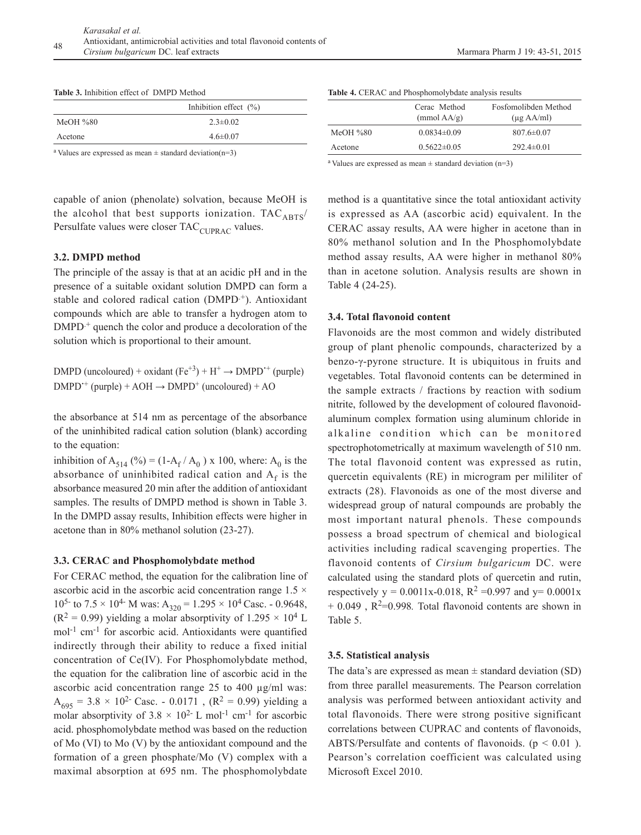|            | Inhibition effect $(\% )$ |
|------------|---------------------------|
| MeOH $%80$ | $2.3 \pm 0.02$            |
| Acetone    | $4.6 \pm 0.07$            |
|            |                           |

<sup>a</sup> Values are expressed as mean  $\pm$  standard deviation(n=3)

capable of anion (phenolate) solvation, because MeOH is the alcohol that best supports ionization.  $TAC<sub>ARTS</sub>$ Persulfate values were closer TAC<sub>CUPRAC</sub> values.

## **3.2. DMPD method**

The principle of the assay is that at an acidic pH and in the presence of a suitable oxidant solution DMPD can form a stable and colored radical cation (DMPD<sup>+</sup>). Antioxidant compounds which are able to transfer a hydrogen atom to  $DMPD<sup>+</sup>$  quench the color and produce a decoloration of the solution which is proportional to their amount.

DMPD (uncoloured) + oxidant  $(Fe^{+3}) + H^+ \rightarrow DMPD^+$  (purple)  $DMPD^+$  (purple) + AOH  $\rightarrow$  DMPD<sup>+</sup> (uncoloured) + AO

the absorbance at 514 nm as percentage of the absorbance of the uninhibited radical cation solution (blank) according to the equation:

inhibition of  $A_{514}$  (%) = (1- $A_f / A_0$ ) x 100, where:  $A_0$  is the absorbance of uninhibited radical cation and  $A_f$  is the absorbance measured 20 min after the addition of antioxidant samples. The results of DMPD method is shown in Table 3. In the DMPD assay results, Inhibition effects were higher in acetone than in 80% methanol solution (23-27).

## **3.3. CERAC and Phosphomolybdate method**

For CERAC method, the equation for the calibration line of ascorbic acid in the ascorbic acid concentration range  $1.5 \times$ 10<sup>5-</sup> to 7.5  $\times$  10<sup>4-</sup> M was: A<sub>320</sub> = 1.295  $\times$  10<sup>4</sup> Casc. - 0.9648,  $(R^2 = 0.99)$  yielding a molar absorptivity of 1.295  $\times$  10<sup>4</sup> L mol<sup>-1</sup> cm<sup>-1</sup> for ascorbic acid. Antioxidants were quantified indirectly through their ability to reduce a fixed initial concentration of Ce(IV). For Phosphomolybdate method, the equation for the calibration line of ascorbic acid in the ascorbic acid concentration range 25 to 400 µg/ml was:  $A_{695} = 3.8 \times 10^{2}$  Casc. - 0.0171, (R<sup>2</sup> = 0.99) yielding a molar absorptivity of  $3.8 \times 10^{2}$ - L mol<sup>-1</sup> cm<sup>-1</sup> for ascorbic acid. phosphomolybdate method was based on the reduction of Mo (VI) to Mo (V) by the antioxidant compound and the formation of a green phosphate/Mo (V) complex with a maximal absorption at 695 nm. The phosphomolybdate

|            | Cerac Method<br>$(mmol\,\text{AA/g})$ | Fosfomolibden Method<br>$(\mu$ g AA/ml) |
|------------|---------------------------------------|-----------------------------------------|
| MeOH $%80$ | $0.0834\pm0.09$                       | $807.6 \pm 0.07$                        |
| Acetone    | $0.5622\pm0.05$                       | $292.4 \pm 0.01$                        |

<sup>a</sup> Values are expressed as mean  $\pm$  standard deviation (n=3)

method is a quantitative since the total antioxidant activity is expressed as AA (ascorbic acid) equivalent. In the CERAC assay results, AA were higher in acetone than in 80% methanol solution and In the Phosphomolybdate method assay results, AA were higher in methanol 80% than in acetone solution. Analysis results are shown in Table 4 (24-25).

#### **3.4. Total flavonoid content**

Flavonoids are the most common and widely distributed group of plant phenolic compounds, characterized by a benzo-γ-pyrone structure. It is ubiquitous in fruits and vegetables. Total flavonoid contents can be determined in the sample extracts / fractions by reaction with sodium nitrite, followed by the development of coloured flavonoidaluminum complex formation using aluminum chloride in alkaline condition which can be monitored spectrophotometrically at maximum wavelength of 510 nm. The total flavonoid content was expressed as rutin, quercetin equivalents (RE) in microgram per mililiter of extracts (28). Flavonoids as one of the most diverse and widespread group of natural compounds are probably the most important natural phenols. These compounds possess a broad spectrum of chemical and biological activities including radical scavenging properties. The flavonoid contents of *Cirsium bulgaricum* DC. were calculated using the standard plots of quercetin and rutin, respectively  $y = 0.0011x - 0.018$ ,  $R^2 = 0.997$  and  $y = 0.0001x$  $+ 0.049$ ,  $R^2 = 0.998$ . Total flavonoid contents are shown in Table 5.

#### **3.5. Statistical analysis**

The data's are expressed as mean  $\pm$  standard deviation (SD) from three parallel measurements. The Pearson correlation analysis was performed between antioxidant activity and total flavonoids. There were strong positive significant correlations between CUPRAC and contents of flavonoids, ABTS/Persulfate and contents of flavonoids. ( $p < 0.01$ ). Pearson's correlation coefficient was calculated using Microsoft Excel 2010.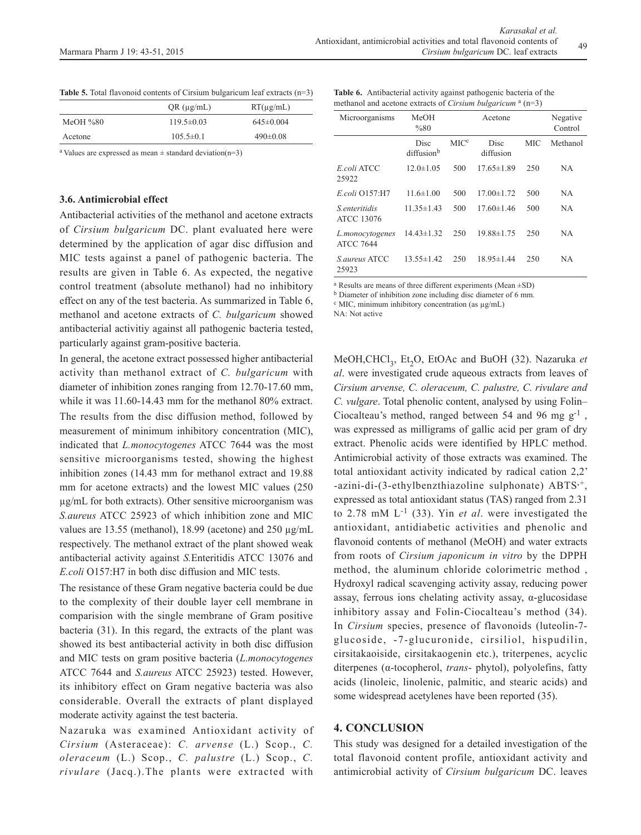|  |  |  |  |  |  | <b>Table 5.</b> Total flavonoid contents of Cirsium bulgaricum leaf extracts $(n=3)$ |  |
|--|--|--|--|--|--|--------------------------------------------------------------------------------------|--|
|--|--|--|--|--|--|--------------------------------------------------------------------------------------|--|

|            | $QR$ ( $\mu$ g/mL) | $RT(\mu g/mL)$ |
|------------|--------------------|----------------|
| MeOH $%80$ | $119.5\pm0.03$     | $645\pm0.004$  |
| Acetone    | $105.5 \pm 0.1$    | $490\pm0.08$   |
|            |                    |                |

<sup>a</sup> Values are expressed as mean  $\pm$  standard deviation(n=3)

## **3.6. Antimicrobial effect**

Antibacterial activities of the methanol and acetone extracts of *Cirsium bulgaricum* DC. plant evaluated here were determined by the application of agar disc diffusion and MIC tests against a panel of pathogenic bacteria. The results are given in Table 6. As expected, the negative control treatment (absolute methanol) had no inhibitory effect on any of the test bacteria. As summarized in Table 6, methanol and acetone extracts of *C. bulgaricum* showed antibacterial activitiy against all pathogenic bacteria tested, particularly against gram-positive bacteria.

In general, the acetone extract possessed higher antibacterial activity than methanol extract of *C. bulgaricum* with diameter of inhibition zones ranging from 12.70-17.60 mm, while it was 11.60-14.43 mm for the methanol 80% extract. The results from the disc diffusion method, followed by measurement of minimum inhibitory concentration (MIC), indicated that *L.monocytogenes* ATCC 7644 was the most sensitive microorganisms tested, showing the highest inhibition zones (14.43 mm for methanol extract and 19.88 mm for acetone extracts) and the lowest MIC values (250 µg/mL for both extracts). Other sensitive microorganism was *S.aureus* ATCC 25923 of which inhibition zone and MIC values are 13.55 (methanol), 18.99 (acetone) and 250 µg/mL respectively. The methanol extract of the plant showed weak antibacterial activity against *S.*Enteritidis ATCC 13076 and *E.coli* O157:H7 in both disc diffusion and MIC tests.

The resistance of these Gram negative bacteria could be due to the complexity of their double layer cell membrane in comparision with the single membrane of Gram positive bacteria (31). In this regard, the extracts of the plant was showed its best antibacterial activity in both disc diffusion and MIC tests on gram positive bacteria (*L.monocytogenes* ATCC 7644 and *S.aureus* ATCC 25923) tested. However, its inhibitory effect on Gram negative bacteria was also considerable. Overall the extracts of plant displayed moderate activity against the test bacteria.

Nazaruka was examined Antioxidant activity of *Cirsium* (Asteraceae): *C. arvense* (L.) Scop., *C. oleraceum* (L.) Scop., *C. palustre* (L.) Scop., *C. rivulare* (Jacq.).The plants were extracted with

| <b>Table 6.</b> Antibacterial activity against pathogenic bacteria of the |  |  |  |
|---------------------------------------------------------------------------|--|--|--|
| methanol and acetone extracts of <i>Cirsium bulgaricum</i> $a(n=3)$       |  |  |  |

| Microorganisms                            | MeOH<br>%80        | Acetone          |                   |            | Negative<br>Control |
|-------------------------------------------|--------------------|------------------|-------------------|------------|---------------------|
|                                           | Disc<br>diffusionb | MIC <sup>c</sup> | Disc<br>diffusion | <b>MIC</b> | Methanol            |
| E.coli ATCC<br>25922                      | $12.0 \pm 1.05$    | 500              | $17.65 \pm 1.89$  | 250        | NA.                 |
| E.coli Q157:H7                            | $11.6 \pm 1.00$    | 500              | $17.00 \pm 1.72$  | 500        | NA                  |
| <i>S</i> enteritidis<br><b>ATCC 13076</b> | $11.35 \pm 1.43$   | 500              | $17.60 \pm 1.46$  | 500        | NA                  |
| L.monocytogenes<br><b>ATCC 7644</b>       | $14.43 \pm 1.32$   | 250              | $19.88 \pm 1.75$  | 250        | NA                  |
| <i>S. aureus</i> ATCC<br>25923            | $13.55 \pm 1.42$   | 250              | $18.95 \pm 1.44$  | 250        | NA                  |

a Results are means of three different experiments (Mean ±SD)

<sup>b</sup> Diameter of inhibition zone including disc diameter of 6 mm.

c MIC, minimum inhibitory concentration (as µg/mL)

NA: Not active

MeOH,CHCl<sub>2</sub>, Et<sub>2</sub>O, EtOAc and BuOH (32). Nazaruka et *al*. were investigated crude aqueous extracts from leaves of *Cirsium arvense, C. oleraceum, C. palustre, C. rivulare and C. vulgare*. Total phenolic content, analysed by using Folin– Ciocalteau's method, ranged between 54 and 96 mg  $g^{-1}$ , was expressed as milligrams of gallic acid per gram of dry extract. Phenolic acids were identified by HPLC method. Antimicrobial activity of those extracts was examined. The total antioxidant activity indicated by radical cation 2,2' -azini-di-(3-ethylbenzthiazoline sulphonate) ABTS**.**+, expressed as total antioxidant status (TAS) ranged from 2.31 to 2.78 mM  $L^{-1}$  (33). Yin *et al.* were investigated the antioxidant, antidiabetic activities and phenolic and flavonoid contents of methanol (MeOH) and water extracts from roots of *Cirsium japonicum in vitro* by the DPPH method, the aluminum chloride colorimetric method , Hydroxyl radical scavenging activity assay, reducing power assay, ferrous ions chelating activity assay, α-glucosidase inhibitory assay and Folin-Ciocalteau's method (34). In *Cirsium* species, presence of flavonoids (luteolin-7 glucoside, -7-glucuronide, cirsiliol, hispudilin, cirsitakaoiside, cirsitakaogenin etc.), triterpenes, acyclic diterpenes (α-tocopherol, *trans*- phytol), polyolefins, fatty acids (linoleic, linolenic, palmitic, and stearic acids) and some widespread acetylenes have been reported (35).

## **4. CONCLUSION**

This study was designed for a detailed investigation of the total flavonoid content profile, antioxidant activity and antimicrobial activity of *Cirsium bulgaricum* DC. leaves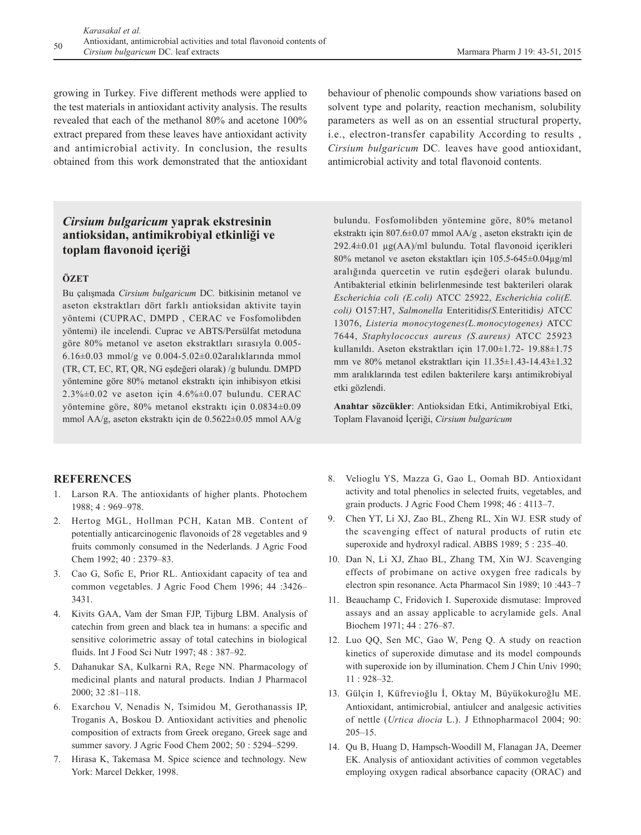growing in Turkey. Five different methods were applied to the test materials in antioxidant activity analysis. The results revealed that each of the methanol 80% and acetone 100% extract prepared from these leaves have antioxidant activity and antimicrobial activity. In conclusion, the results obtained from this work demonstrated that the antioxidant behaviour of phenolic compounds show variations based on solvent type and polarity, reaction mechanism, solubility parameters as well as on an essential structural property, i.e., electron-transfer capability According to results , *Cirsium bulgaricum* DC*.* leaves have good antioxidant, antimicrobial activity and total flavonoid contents.

# *Cirsium bulgaricum* **yaprak ekstresinin antioksidan, antimikrobiyal etkinliği ve toplam flavonoid içeriği**

# **ÖZET**

Bu çalışmada *Cirsium bulgaricum* DC*.* bitkisinin metanol ve aseton ekstraktları dört farklı antioksidan aktivite tayin yöntemi (CUPRAC, DMPD , CERAC ve Fosfomolibden yöntemi) ile incelendi. Cuprac ve ABTS/Persülfat metoduna göre 80% metanol ve aseton ekstraktları sırasıyla 0.005- 6.16±0.03 mmol/g ve 0.004-5.02±0.02aralıklarında mmol (TR, CT, EC, RT, QR, NG eşdeğeri olarak) /g bulundu. DMPD yöntemine göre 80% metanol ekstraktı için inhibisyon etkisi  $2.3\% \pm 0.02$  ve aseton için  $4.6\% \pm 0.07$  bulundu. CERAC yöntemine göre, 80% metanol ekstraktı için 0.0834±0.09 mmol AA/g, aseton ekstraktı için de 0.5622±0.05 mmol AA/g

bulundu. Fosfomolibden yöntemine göre, 80% metanol ekstraktı için 807.6±0.07 mmol AA/g , aseton ekstraktı için de 292.4±0.01 µg(AA)/ml bulundu. Total flavonoid içerikleri 80% metanol ve aseton ekstaktları için 105.5-645±0.04µg/ml aralığında quercetin ve rutin eşdeğeri olarak bulundu. Antibakterial etkinin belirlenmesinde test bakterileri olarak *Escherichia coli (E.coli)* ATCC 25922, *Escherichia coli(E. coli)* O157:H7, *Salmonella* Enteritidis*(S.*Enteritidis*)* ATCC 13076, *Listeria monocytogenes(L.monocytogenes)* ATCC 7644, *Staphylococcus aureus (S.aureus)* ATCC 25923 kullanıldı. Aseton ekstraktları için 17.00±1.72- 19.88±1.75 mm ve 80% metanol ekstraktları için 11.35±1.43-14.43±1.32 mm aralıklarında test edilen bakterilere karşı antimikrobiyal etki gözlendi.

**Anahtar sözcükler**: Antioksidan Etki, Antimikrobiyal Etki, Toplam Flavanoid İçeriği, *Cirsium bulgaricum*

# **REFERENCES**

- 1. Larson RA. The antioxidants of higher plants. Photochem 1988; 4 : 969–978.
- 2. Hertog MGL, Hollman PCH, Katan MB. Content of potentially anticarcinogenic flavonoids of 28 vegetables and 9 fruits commonly consumed in the Nederlands. J Agric Food Chem 1992; 40 : 2379–83.
- 3. Cao G, Sofic E, Prior RL. Antioxidant capacity of tea and common vegetables. J Agric Food Chem 1996; 44 :3426– 3431.
- 4. Kivits GAA, Vam der Sman FJP, Tijburg LBM. Analysis of catechin from green and black tea in humans: a specific and sensitive colorimetric assay of total catechins in biological fluids. Int J Food Sci Nutr 1997; 48 : 387–92.
- 5. Dahanukar SA, Kulkarni RA, Rege NN. Pharmacology of medicinal plants and natural products. Indian J Pharmacol 2000; 32 :81–118.
- 6. Exarchou V, Nenadis N, Tsimidou M, Gerothanassis IP, Troganis A, Boskou D. Antioxidant activities and phenolic composition of extracts from Greek oregano, Greek sage and summer savory. J Agric Food Chem 2002; 50 : 5294–5299.
- 7. Hirasa K, Takemasa M. Spice science and technology. New York: Marcel Dekker, 1998.
- 8. Velioglu YS, Mazza G, Gao L, Oomah BD. Antioxidant activity and total phenolics in selected fruits, vegetables, and grain products. J Agric Food Chem 1998; 46 : 4113–7.
- 9. Chen YT, Li XJ, Zao BL, Zheng RL, Xin WJ. ESR study of the scavenging effect of natural products of rutin etc superoxide and hydroxyl radical. ABBS 1989; 5 : 235-40.
- 10. Dan N, Li XJ, Zhao BL, Zhang TM, Xin WJ. Scavenging effects of probimane on active oxygen free radicals by electron spin resonance. Acta Pharmacol Sin 1989; 10 :443–7
- 11. Beauchamp C, Fridovich I. Superoxide dismutase: Improved assays and an assay applicable to acrylamide gels. Anal Biochem 1971; 44 : 276–87.
- 12. Luo QQ, Sen MC, Gao W, Peng Q. A study on reaction kinetics of superoxide dimutase and its model compounds with superoxide ion by illumination. Chem J Chin Univ 1990; 11 : 928–32.
- 13. Gülçin I, Küfrevioğlu İ, Oktay M, Büyükokuroğlu ME. Antioxidant, antimicrobial, antiulcer and analgesic activities of nettle (*Urtica diocia* L.). J Ethnopharmacol 2004; 90: 205–15.
- 14. Qu B, Huang D, Hampsch-Woodill M, Flanagan JA, Deemer EK. Analysis of antioxidant activities of common vegetables employing oxygen radical absorbance capacity (ORAC) and